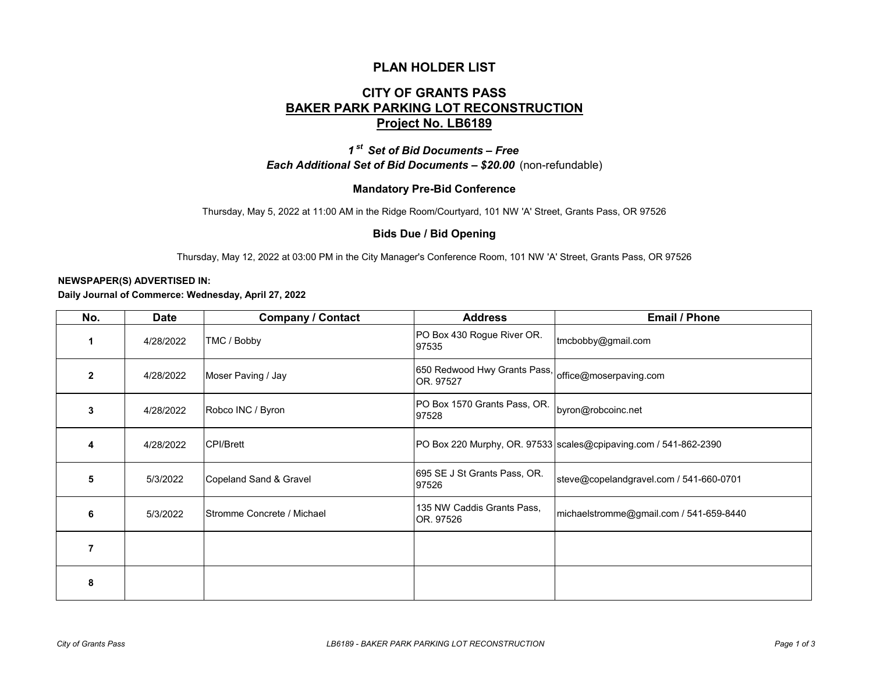## **PLAN HOLDER LIST**

# **CITY OF GRANTS PASS BAKER PARK PARKING LOT RECONSTRUCTION Project No. LB6189**

*1 st Set of Bid Documents – Free Each Additional Set of Bid Documents – \$20.00* (non-refundable)

### **Mandatory Pre-Bid Conference**

Thursday, May 5, 2022 at 11:00 AM in the Ridge Room/Courtyard, 101 NW 'A' Street, Grants Pass, OR 97526

#### **Bids Due / Bid Opening**

Thursday, May 12, 2022 at 03:00 PM in the City Manager's Conference Room, 101 NW 'A' Street, Grants Pass, OR 97526

#### **NEWSPAPER(S) ADVERTISED IN:**

**Daily Journal of Commerce: Wednesday, April 27, 2022**

| No.            | Date      | <b>Company / Contact</b>   | <b>Address</b>                            | <b>Email / Phone</b>                                             |
|----------------|-----------|----------------------------|-------------------------------------------|------------------------------------------------------------------|
| 1              | 4/28/2022 | TMC / Bobby                | PO Box 430 Rogue River OR.<br>97535       | tmcbobby@gmail.com                                               |
| $\overline{2}$ | 4/28/2022 | Moser Paving / Jay         | 650 Redwood Hwy Grants Pass,<br>OR. 97527 | office@moserpaving.com                                           |
| 3              | 4/28/2022 | Robco INC / Byron          | PO Box 1570 Grants Pass, OR.<br>97528     | byron@robcoinc.net                                               |
| 4              | 4/28/2022 | <b>CPI/Brett</b>           |                                           | PO Box 220 Murphy, OR. 97533 scales@cpipaving.com / 541-862-2390 |
| 5              | 5/3/2022  | Copeland Sand & Gravel     | 695 SE J St Grants Pass, OR.<br>97526     | steve@copelandgravel.com / 541-660-0701                          |
| 6              | 5/3/2022  | Stromme Concrete / Michael | 135 NW Caddis Grants Pass,<br>OR. 97526   | michaelstromme@gmail.com / 541-659-8440                          |
| $\overline{7}$ |           |                            |                                           |                                                                  |
| 8              |           |                            |                                           |                                                                  |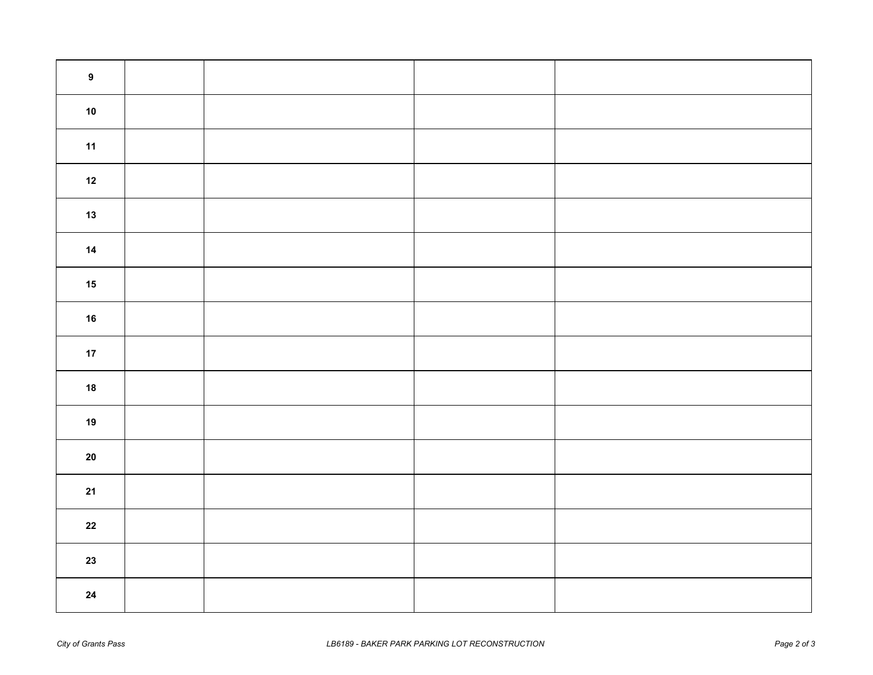| $\boldsymbol{9}$ |  |  |
|------------------|--|--|
| ${\bf 10}$       |  |  |
| 11               |  |  |
| $12$             |  |  |
| $13$             |  |  |
| $14$             |  |  |
| $15$             |  |  |
| $16$             |  |  |
| $17\,$           |  |  |
| ${\bf 18}$       |  |  |
| $19$             |  |  |
| ${\bf 20}$       |  |  |
| 21               |  |  |
| ${\bf 22}$       |  |  |
| $23$             |  |  |
| ${\bf 24}$       |  |  |